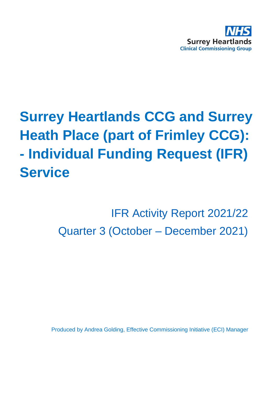

# **Surrey Heartlands CCG and Surrey Heath Place (part of Frimley CCG): - Individual Funding Request (IFR) Service**

IFR Activity Report 2021/22 Quarter 3 (October – December 2021)

Produced by Andrea Golding, Effective Commissioning Initiative (ECI) Manager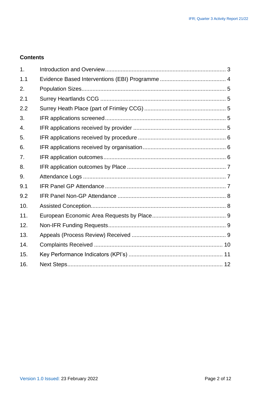#### **Contents**

| 1.  |  |
|-----|--|
| 1.1 |  |
| 2.  |  |
| 2.1 |  |
| 2.2 |  |
| 3.  |  |
| 4.  |  |
| 5.  |  |
| 6.  |  |
| 7.  |  |
| 8.  |  |
| 9.  |  |
| 9.1 |  |
| 9.2 |  |
| 10. |  |
| 11. |  |
| 12. |  |
| 13. |  |
| 14. |  |
| 15. |  |
| 16. |  |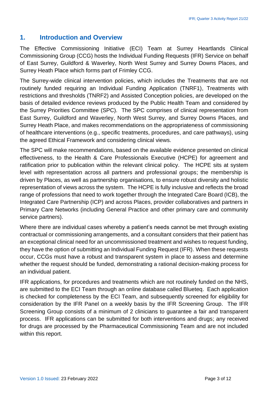#### <span id="page-2-0"></span>**1. Introduction and Overview**

The Effective Commissioning Initiative (ECI) Team at Surrey Heartlands Clinical Commissioning Group (CCG) hosts the Individual Funding Requests (IFR) Service on behalf of East Surrey, Guildford & Waverley, North West Surrey and Surrey Downs Places, and Surrey Heath Place which forms part of Frimley CCG.

The Surrey-wide clinical intervention policies, which includes the Treatments that are not routinely funded requiring an Individual Funding Application (TNRF1), Treatments with restrictions and thresholds (TNRF2) and Assisted Conception policies, are developed on the basis of detailed evidence reviews produced by the Public Health Team and considered by the Surrey Priorities Committee (SPC). The SPC comprises of clinical representation from East Surrey, Guildford and Waverley, North West Surrey, and Surrey Downs Places, and Surrey Heath Place, and makes recommendations on the appropriateness of commissioning of healthcare interventions (e.g., specific treatments, procedures, and care pathways), using the agreed Ethical Framework and considering clinical views.

The SPC will make recommendations, based on the available evidence presented on clinical effectiveness, to the Health & Care Professionals Executive (HCPE) for agreement and ratification prior to publication within the relevant clinical policy. The HCPE sits at system level with representation across all partners and professional groups; the membership is driven by Places, as well as partnership organisations, to ensure robust diversity and holistic representation of views across the system. The HCPE is fully inclusive and reflects the broad range of professions that need to work together through the Integrated Care Board (ICB), the Integrated Care Partnership (ICP) and across Places, provider collaboratives and partners in Primary Care Networks (including General Practice and other primary care and community service partners).

Where there are individual cases whereby a patient's needs cannot be met through existing contractual or commissioning arrangements, and a consultant considers that their patient has an exceptional clinical need for an uncommissioned treatment and wishes to request funding, they have the option of submitting an Individual Funding Request (IFR). When these requests occur, CCGs must have a robust and transparent system in place to assess and determine whether the request should be funded, demonstrating a rational decision-making process for an individual patient.

IFR applications, for procedures and treatments which are not routinely funded on the NHS, are submitted to the ECI Team through an online database called Blueteq. Each application is checked for completeness by the ECI Team, and subsequently screened for eligibility for consideration by the IFR Panel on a weekly basis by the IFR Screening Group. The IFR Screening Group consists of a minimum of 2 clinicians to guarantee a fair and transparent process. IFR applications can be submitted for both interventions and drugs; any received for drugs are processed by the Pharmaceutical Commissioning Team and are not included within this report.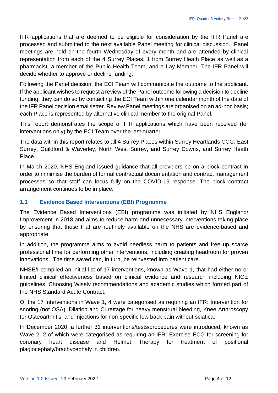IFR applications that are deemed to be eligible for consideration by the IFR Panel are processed and submitted to the next available Panel meeting for clinical discussion. Panel meetings are held on the fourth Wednesday of every month and are attended by clinical representation from each of the 4 Surrey Places, 1 from Surrey Heath Place as well as a pharmacist, a member of the Public Health Team, and a Lay Member. The IFR Panel will decide whether to approve or decline funding.

Following the Panel decision, the ECI Team will communicate the outcome to the applicant. If the applicant wishes to request a review of the Panel outcome following a decision to decline funding, they can do so by contacting the ECI Team within one calendar month of the date of the IFR Panel decision email/letter. Review Panel meetings are organised on an ad-hoc basis; each Place is represented by alternative clinical member to the original Panel.

This report demonstrates the scope of IFR applications which have been received (for interventions only) by the ECI Team over the last quarter.

The data within this report relates to all 4 Surrey Places within Surrey Heartlands CCG: East Surrey, Guildford & Waverley, North West Surrey, and Surrey Downs, and Surrey Heath Place.

In March 2020, NHS England issued guidance that all providers be on a block contract in order to minimise the burden of formal contractual documentation and contract management processes so that staff can focus fully on the COVID-19 response. The block contract arrangement continues to be in place.

#### <span id="page-3-0"></span>**1.1 Evidence Based Interventions (EBI) Programme**

The Evidence Based Interventions (EBI) programme was initiated by NHS England/ Improvement in 2018 and aims to reduce harm and unnecessary interventions taking place by ensuring that those that are routinely available on the NHS are evidence-based and appropriate.

In addition, the programme aims to avoid needless harm to patients and free up scarce professional time for performing other interventions, including creating headroom for proven innovations. The time saved can, in turn, be reinvested into patient care.

NHSE/I compiled an initial list of 17 interventions, known as Wave 1, that had either no or limited clinical effectiveness based on clinical evidence and research including NICE guidelines, Choosing Wisely recommendations and academic studies which formed part of the NHS Standard Acute Contract.

Of the 17 interventions in Wave 1, 4 were categorised as requiring an IFR: Intervention for snoring (not OSA), Dilation and Curettage for heavy menstrual bleeding, Knee Arthroscopy for Osteoarthritis, and Injections for non-specific low back pain without sciatica.

In December 2020, a further 31 interventions/tests/procedures were introduced, known as Wave 2, 2 of which were categorised as requiring an IFR: Exercise ECG for screening for coronary heart disease and Helmet Therapy for treatment of positional plagiocephaly/brachycephaly in children.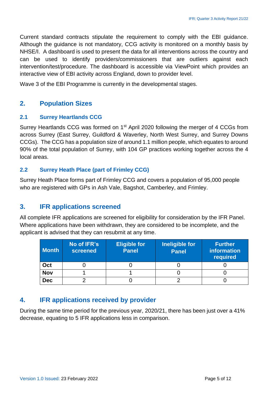Current standard contracts stipulate the requirement to comply with the EBI guidance. Although the guidance is not mandatory, CCG activity is monitored on a monthly basis by NHSE/I. A dashboard is used to present the data for all interventions across the country and can be used to identify providers/commissioners that are outliers against each intervention/test/procedure. The dashboard is accessible via ViewPoint which provides an interactive view of EBI activity across England, down to provider level.

Wave 3 of the EBI Programme is currently in the developmental stages.

# <span id="page-4-0"></span>**2. Population Sizes**

#### <span id="page-4-1"></span>**2.1 Surrey Heartlands CCG**

Surrey Heartlands CCG was formed on 1<sup>st</sup> April 2020 following the merger of 4 CCGs from across Surrey (East Surrey, Guildford & Waverley, North West Surrey, and Surrey Downs CCGs). The CCG has a population size of around 1.1 million people, which equates to around 90% of the total population of Surrey, with 104 GP practices working together across the 4 local areas.

#### <span id="page-4-2"></span>**2.2 Surrey Heath Place (part of Frimley CCG)**

Surrey Heath Place forms part of Frimley CCG and covers a population of 95,000 people who are registered with GPs in Ash Vale, Bagshot, Camberley, and Frimley.

# <span id="page-4-3"></span>**3. IFR applications screened**

All complete IFR applications are screened for eligibility for consideration by the IFR Panel. Where applications have been withdrawn, they are considered to be incomplete, and the applicant is advised that they can resubmit at any time.

| <b>Month</b> | No of IFR's<br>screened | <b>Eligible for</b><br><b>Panel</b> | Ineligible for<br><b>Panel</b> | <b>Further</b><br>information<br>required |
|--------------|-------------------------|-------------------------------------|--------------------------------|-------------------------------------------|
| Oct          |                         |                                     |                                |                                           |
| <b>Nov</b>   |                         |                                     |                                |                                           |
| <b>Dec</b>   |                         |                                     |                                |                                           |

# <span id="page-4-4"></span>**4. IFR applications received by provider**

During the same time period for the previous year, 2020/21, there has been just over a 41% decrease, equating to 5 IFR applications less in comparison.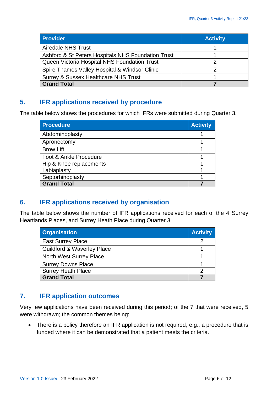| <b>Provider</b>                                    | <b>Activity</b> |
|----------------------------------------------------|-----------------|
| <b>Airedale NHS Trust</b>                          |                 |
| Ashford & St Peters Hospitals NHS Foundation Trust |                 |
| Queen Victoria Hospital NHS Foundation Trust       |                 |
| Spire Thames Valley Hospital & Windsor Clinic      |                 |
| Surrey & Sussex Healthcare NHS Trust               |                 |
| <b>Grand Total</b>                                 |                 |

# <span id="page-5-0"></span>**5. IFR applications received by procedure**

The table below shows the procedures for which IFRs were submitted during Quarter 3.

| <b>Procedure</b>        | <b>Activity</b> |  |
|-------------------------|-----------------|--|
| Abdominoplasty          |                 |  |
| Apronectomy             |                 |  |
| <b>Brow Lift</b>        |                 |  |
| Foot & Ankle Procedure  |                 |  |
| Hip & Knee replacements |                 |  |
| Labiaplasty             |                 |  |
| Septorhinoplasty        |                 |  |
| <b>Grand Total</b>      |                 |  |

# <span id="page-5-1"></span>**6. IFR applications received by organisation**

The table below shows the number of IFR applications received for each of the 4 Surrey Heartlands Places, and Surrey Heath Place during Quarter 3.

| <b>Organisation</b>                   | <b>Activity</b> |
|---------------------------------------|-----------------|
| <b>East Surrey Place</b>              |                 |
| <b>Guildford &amp; Waverley Place</b> |                 |
| <b>North West Surrey Place</b>        |                 |
| <b>Surrey Downs Place</b>             |                 |
| <b>Surrey Heath Place</b>             |                 |
| <b>Grand Total</b>                    |                 |

# <span id="page-5-2"></span>**7. IFR application outcomes**

Very few applications have been received during this period; of the 7 that were received, 5 were withdrawn; the common themes being:

• There is a policy therefore an IFR application is not required, e.g., a procedure that is funded where it can be demonstrated that a patient meets the criteria.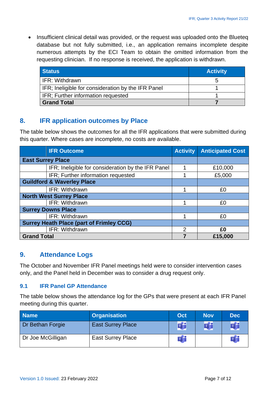• Insufficient clinical detail was provided, or the request was uploaded onto the Blueteq database but not fully submitted, i.e., an application remains incomplete despite numerous attempts by the ECI Team to obtain the omitted information from the requesting clinician. If no response is received, the application is withdrawn.

| <b>Status</b>                                      | <b>Activity</b> |
|----------------------------------------------------|-----------------|
| <b>IFR: Withdrawn</b>                              | b               |
| IFR; Ineligible for consideration by the IFR Panel |                 |
| IFR; Further information requested                 |                 |
| <b>Grand Total</b>                                 |                 |

#### <span id="page-6-0"></span>**8. IFR application outcomes by Place**

The table below shows the outcomes for all the IFR applications that were submitted during this quarter. Where cases are incomplete, no costs are available.

|                                | <b>IFR Outcome</b>                                 | <b>Activity</b> | <b>Anticipated Cost</b> |
|--------------------------------|----------------------------------------------------|-----------------|-------------------------|
|                                | <b>East Surrey Place</b>                           |                 |                         |
|                                | IFR; Ineligible for consideration by the IFR Panel |                 | £10,000                 |
|                                | IFR; Further information requested                 |                 | £5,000                  |
|                                | <b>Guildford &amp; Waverley Place</b>              |                 |                         |
|                                | IFR: Withdrawn                                     | 1               | £0                      |
| <b>North West Surrey Place</b> |                                                    |                 |                         |
|                                | IFR: Withdrawn                                     | 4               | £0                      |
|                                | <b>Surrey Downs Place</b>                          |                 |                         |
|                                | IFR: Withdrawn                                     |                 | £0                      |
|                                | <b>Surrey Heath Place (part of Frimley CCG)</b>    |                 |                         |
|                                | IFR: Withdrawn                                     | $\overline{2}$  | £0                      |
| <b>Grand Total</b>             |                                                    |                 | £15,000                 |

# <span id="page-6-1"></span>**9. Attendance Logs**

The October and November IFR Panel meetings held were to consider intervention cases only, and the Panel held in December was to consider a drug request only.

#### <span id="page-6-2"></span>**9.1 IFR Panel GP Attendance**

The table below shows the attendance log for the GPs that were present at each IFR Panel meeting during this quarter.

| <b>Name</b>       | <b>Organisation</b>      | Oct | <b>Nov</b> | <b>Dec</b> |
|-------------------|--------------------------|-----|------------|------------|
| Dr Bethan Forgie  | <b>East Surrey Place</b> |     |            |            |
| Dr Joe McGilligan | <b>East Surrey Place</b> |     |            |            |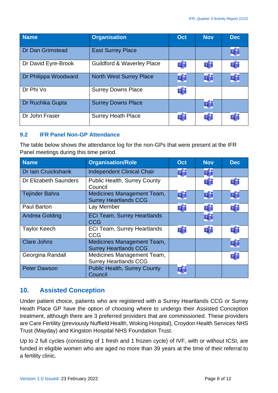| <b>Name</b>             | <b>Organisation</b>                   | <b>Oct</b> | <b>Nov</b> | <b>Dec</b> |
|-------------------------|---------------------------------------|------------|------------|------------|
| <b>Dr Dan Grimstead</b> | <b>East Surrey Place</b>              |            |            | Ej:        |
| Dr David Eyre-Brook     | <b>Guildford &amp; Waverley Place</b> | di         | ďi         | di         |
| Dr Philippa Woodward    | <b>North West Surrey Place</b>        | ďj         | Ŵ          | Ej j       |
| Dr Phi Vo               | <b>Surrey Downs Place</b>             | ďj         |            |            |
| Dr Ruchika Gupta        | <b>Surrey Downs Place</b>             |            | Ej j       |            |
| Dr John Fraser          | <b>Surrey Heath Place</b>             | ďj         | ďi         | ďi         |

#### <span id="page-7-0"></span>**9.2 IFR Panel Non-GP Attendance**

The table below shows the attendance log for the non-GPs that were present at the IFR Panel meetings during this time period.

| <b>Name</b>           | <b>Organisation/Role</b>                                   | Oct  | <b>Nov</b> | <b>Dec</b> |
|-----------------------|------------------------------------------------------------|------|------------|------------|
| Dr Iain Cruickshank   | <b>Independent Clinical Chair</b>                          | ďj   | Ŵ          |            |
| Dr Elizabeth Saunders | <b>Public Health, Surrey County</b><br>Council             |      | ďi         | di         |
| <b>Tejinder Bahra</b> | Medicines Management Team,<br><b>Surrey Heartlands CCG</b> | Ŵ    | Ú          | Ej:        |
| <b>Paul Barton</b>    | Lay Member                                                 | Új   | ďj         | Ú          |
| <b>Andrea Golding</b> | <b>ECI Team, Surrey Heartlands</b><br><b>CCG</b>           |      | Ej j       |            |
| <b>Taylor Keech</b>   | <b>ECI Team, Surrey Heartlands</b><br><b>CCG</b>           | di   | di         | di         |
| <b>Clare Johns</b>    | Medicines Management Team,<br><b>Surrey Heartlands CCG</b> |      |            | Ej:        |
| Georgina Randall      | Medicines Management Team,<br><b>Surrey Heartlands CCG</b> |      |            | Új         |
| <b>Peter Dawson</b>   | <b>Public Health, Surrey County</b><br>Council             | Ej j |            |            |

# <span id="page-7-1"></span>**10. Assisted Conception**

Under patient choice, patients who are registered with a Surrey Heartlands CCG or Surrey Heath Place GP have the option of choosing where to undergo their Assisted Conception treatment, although there are 3 preferred providers that are commissioned. These providers are Care Fertility (previously Nuffield Health, Woking Hospital), Croydon Health Services NHS Trust (Mayday) and Kingston Hospital NHS Foundation Trust.

Up to 2 full cycles (consisting of 1 fresh and 1 frozen cycle) of IVF, with or without ICSI, are funded in eligible women who are aged no more than 39 years at the time of their referral to a fertility clinic.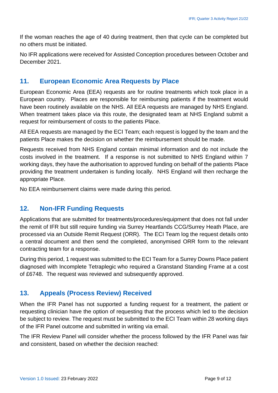If the woman reaches the age of 40 during treatment, then that cycle can be completed but no others must be initiated.

No IFR applications were received for Assisted Conception procedures between October and December 2021.

#### <span id="page-8-0"></span>**11. European Economic Area Requests by Place**

European Economic Area (EEA) requests are for routine treatments which took place in a European country. Places are responsible for reimbursing patients if the treatment would have been routinely available on the NHS. All EEA requests are managed by NHS England. When treatment takes place via this route, the designated team at NHS England submit a request for reimbursement of costs to the patients Place.

All EEA requests are managed by the ECI Team; each request is logged by the team and the patients Place makes the decision on whether the reimbursement should be made.

Requests received from NHS England contain minimal information and do not include the costs involved in the treatment. If a response is not submitted to NHS England within 7 working days, they have the authorisation to approved funding on behalf of the patients Place providing the treatment undertaken is funding locally. NHS England will then recharge the appropriate Place.

No EEA reimbursement claims were made during this period.

# <span id="page-8-1"></span>**12. Non-IFR Funding Requests**

Applications that are submitted for treatments/procedures/equipment that does not fall under the remit of IFR but still require funding via Surrey Heartlands CCG/Surrey Heath Place, are processed via an Outside Remit Request (ORR). The ECI Team log the request details onto a central document and then send the completed, anonymised ORR form to the relevant contracting team for a response.

During this period, 1 request was submitted to the ECI Team for a Surrey Downs Place patient diagnosed with Incomplete Tetraplegic who required a Granstand Standing Frame at a cost of £6748. The request was reviewed and subsequently approved.

# <span id="page-8-2"></span>**13. Appeals (Process Review) Received**

When the IFR Panel has not supported a funding request for a treatment, the patient or requesting clinician have the option of requesting that the process which led to the decision be subject to review. The request must be submitted to the ECI Team within 28 working days of the IFR Panel outcome and submitted in writing via email.

The IFR Review Panel will consider whether the process followed by the IFR Panel was fair and consistent, based on whether the decision reached: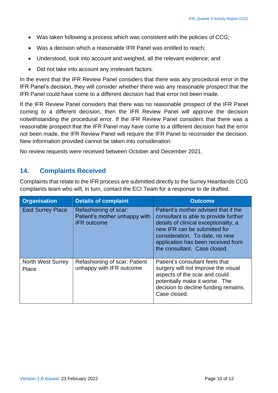- Was taken following a process which was consistent with the policies of CCG;
- Was a decision which a reasonable IFR Panel was entitled to reach;
- Understood, took into account and weighed, all the relevant evidence; and
- Did not take into account any irrelevant factors.

In the event that the IFR Review Panel considers that there was any procedural error in the IFR Panel's decision, they will consider whether there was any reasonable prospect that the IFR Panel could have come to a different decision had that error not been made.

If the IFR Review Panel considers that there was no reasonable prospect of the IFR Panel coming to a different decision, then the IFR Review Panel will approve the decision notwithstanding the procedural error. If the IFR Review Panel considers that there was a reasonable prospect that the IFR Panel may have come to a different decision had the error not been made, the IFR Review Panel will require the IFR Panel to reconsider the decision. New information provided cannot be taken into consideration.

No review requests were received between October and December 2021.

# <span id="page-9-0"></span>**14. Complaints Received**

Complaints that relate to the IFR process are submitted directly to the Surrey Heartlands CCG complaints team who will, in turn, contact the ECI Team for a response to de drafted.

| <b>Organisation</b>               | <b>Details of complaint</b>                                                  | <b>Outcome</b>                                                                                                                                                                                                                                                 |
|-----------------------------------|------------------------------------------------------------------------------|----------------------------------------------------------------------------------------------------------------------------------------------------------------------------------------------------------------------------------------------------------------|
| <b>East Surrey Place</b>          | Refashioning of scar:<br>Patient's mother unhappy with<br><b>IFR</b> outcome | Patient's mother advised that if the<br>consultant is able to provide further<br>details of clinical exceptionality, a<br>new IFR can be submitted for<br>consideration. To date, no new<br>application has been received from<br>the consultant. Case closed. |
| <b>North West Surrey</b><br>Place | Refashioning of scar: Patient<br>unhappy with IFR outcome                    | Patient's consultant feels that<br>surgery will not improve the visual<br>aspects of the scar and could<br>potentially make it worse. The<br>decision to decline funding remains.<br>Case closed.                                                              |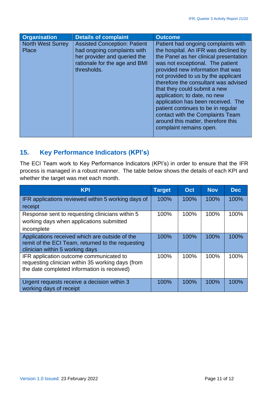| <b>Organisation</b>               | <b>Details of complaint</b>                                                                                                                        | <b>Outcome</b>                                                                                                                                                                                                                                                                                                                                                                                                                                                                                                                 |
|-----------------------------------|----------------------------------------------------------------------------------------------------------------------------------------------------|--------------------------------------------------------------------------------------------------------------------------------------------------------------------------------------------------------------------------------------------------------------------------------------------------------------------------------------------------------------------------------------------------------------------------------------------------------------------------------------------------------------------------------|
| <b>North West Surrey</b><br>Place | <b>Assisted Conception: Patient</b><br>had ongoing complaints with<br>her provider and queried the<br>rationale for the age and BMI<br>thresholds. | Patient had ongoing complaints with<br>the hospital. An IFR was declined by<br>the Panel as her clinical presentation<br>was not exceptional. The patient<br>provided new information that was<br>not provided to us by the applicant<br>therefore the consultant was advised<br>that they could submit a new<br>application; to date, no new<br>application has been received. The<br>patient continues to be in regular<br>contact with the Complaints Team<br>around this matter, therefore this<br>complaint remains open. |

# <span id="page-10-0"></span>**15. Key Performance Indicators (KPI's)**

The ECI Team work to Key Performance Indicators (KPI's) in order to ensure that the IFR process is managed in a robust manner. The table below shows the details of each KPI and whether the target was met each month.

| <b>KPI</b>                                                                                                                                  | <b>Target</b> | Oct  | <b>Nov</b> | <b>Dec</b> |
|---------------------------------------------------------------------------------------------------------------------------------------------|---------------|------|------------|------------|
| IFR applications reviewed within 5 working days of                                                                                          | 100%          | 100% | 100%       | 100%       |
| receipt                                                                                                                                     |               |      |            |            |
| Response sent to requesting clinicians within 5<br>working days when applications submitted<br>incomplete                                   | 100%          | 100% | 100%       | 100%       |
| Applications received which are outside of the<br>remit of the ECI Team, returned to the requesting<br>clinician within 5 working days      | 100%          | 100% | 100%       | 100%       |
| IFR application outcome communicated to<br>requesting clinician within 35 working days (from<br>the date completed information is received) | 100%          | 100% | 100%       | 100%       |
| Urgent requests receive a decision within 3<br>working days of receipt                                                                      | 100%          | 100% | 100%       | 100%       |